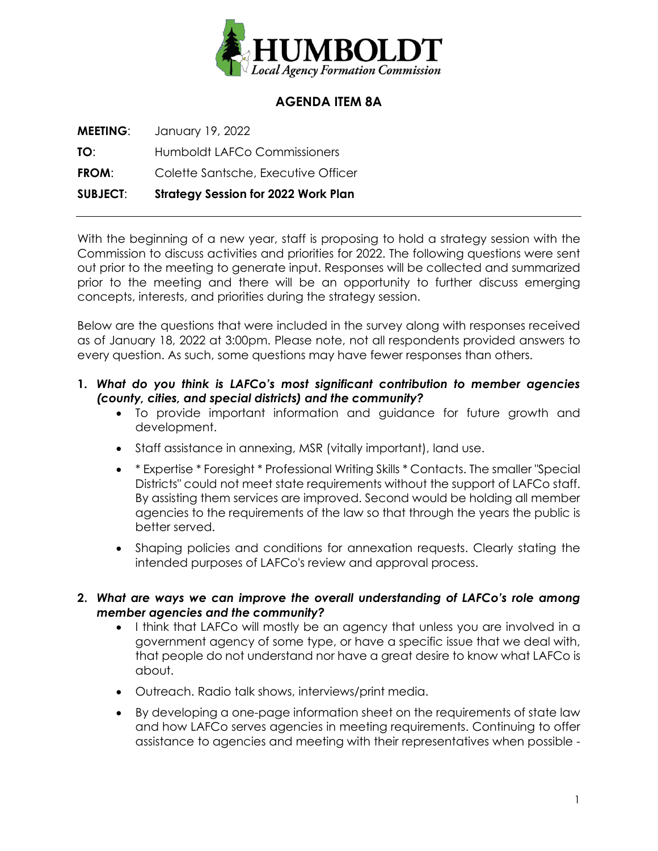

# **AGENDA ITEM 8A**

**MEETING**: January 19, 2022

**TO**: Humboldt LAFCo Commissioners

**FROM**: Colette Santsche, Executive Officer

**SUBJECT**: **Strategy Session for 2022 Work Plan**

With the beginning of a new year, staff is proposing to hold a strategy session with the Commission to discuss activities and priorities for 2022. The following questions were sent out prior to the meeting to generate input. Responses will be collected and summarized prior to the meeting and there will be an opportunity to further discuss emerging concepts, interests, and priorities during the strategy session.

Below are the questions that were included in the survey along with responses received as of January 18, 2022 at 3:00pm. Please note, not all respondents provided answers to every question. As such, some questions may have fewer responses than others.

- **1.** *What do you think is LAFCo's most significant contribution to member agencies (county, cities, and special districts) and the community?*
	- To provide important information and guidance for future growth and development.
	- Staff assistance in annexing, MSR (vitally important), land use.
	- \* Expertise \* Foresight \* Professional Writing Skills \* Contacts. The smaller "Special Districts" could not meet state requirements without the support of LAFCo staff. By assisting them services are improved. Second would be holding all member agencies to the requirements of the law so that through the years the public is better served.
	- Shaping policies and conditions for annexation requests. Clearly stating the intended purposes of LAFCo's review and approval process.
- **2.** *What are ways we can improve the overall understanding of LAFCo's role among member agencies and the community?*
	- I think that LAFCo will mostly be an agency that unless you are involved in a government agency of some type, or have a specific issue that we deal with, that people do not understand nor have a great desire to know what LAFCo is about.
	- Outreach. Radio talk shows, interviews/print media.
	- By developing a one-page information sheet on the requirements of state law and how LAFCo serves agencies in meeting requirements. Continuing to offer assistance to agencies and meeting with their representatives when possible -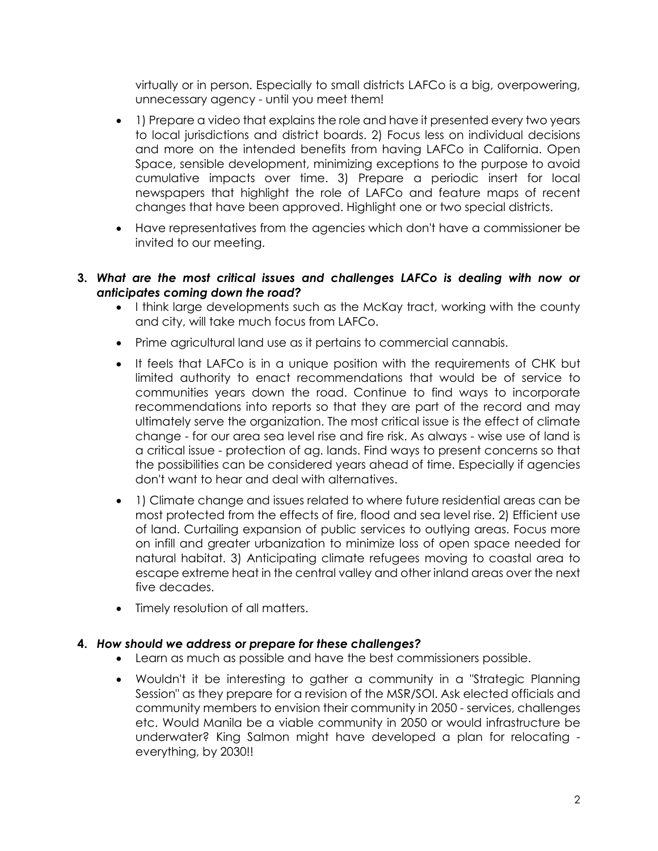virtually or in person. Especially to small districts LAFCo is a big, overpowering, unnecessary agency - until you meet them!

- 1) Prepare a video that explains the role and have it presented every two years to local jurisdictions and district boards. 2) Focus less on individual decisions and more on the intended benefits from having LAFCo in California. Open Space, sensible development, minimizing exceptions to the purpose to avoid cumulative impacts over time. 3) Prepare a periodic insert for local newspapers that highlight the role of LAFCo and feature maps of recent changes that have been approved. Highlight one or two special districts.
- Have representatives from the agencies which don't have a commissioner be invited to our meeting.
- **3.** *What are the most critical issues and challenges LAFCo is dealing with now or anticipates coming down the road?*
	- I think large developments such as the McKay tract, working with the county and city, will take much focus from LAFCo.
	- Prime agricultural land use as it pertains to commercial cannabis.
	- It feels that LAFCo is in a unique position with the requirements of CHK but limited authority to enact recommendations that would be of service to communities years down the road. Continue to find ways to incorporate recommendations into reports so that they are part of the record and may ultimately serve the organization. The most critical issue is the effect of climate change - for our area sea level rise and fire risk. As always - wise use of land is a critical issue - protection of ag. lands. Find ways to present concerns so that the possibilities can be considered years ahead of time. Especially if agencies don't want to hear and deal with alternatives.
	- 1) Climate change and issues related to where future residential areas can be most protected from the effects of fire, flood and sea level rise. 2) Efficient use of land. Curtailing expansion of public services to outlying areas. Focus more on infill and greater urbanization to minimize loss of open space needed for natural habitat. 3) Anticipating climate refugees moving to coastal area to escape extreme heat in the central valley and other inland areas over the next five decades.
	- Timely resolution of all matters.

#### **4.** *How should we address or prepare for these challenges?*

- Learn as much as possible and have the best commissioners possible.
- Wouldn't it be interesting to gather a community in a "Strategic Planning Session" as they prepare for a revision of the MSR/SOI. Ask elected officials and community members to envision their community in 2050 - services, challenges etc. Would Manila be a viable community in 2050 or would infrastructure be underwater? King Salmon might have developed a plan for relocating everything, by 2030!!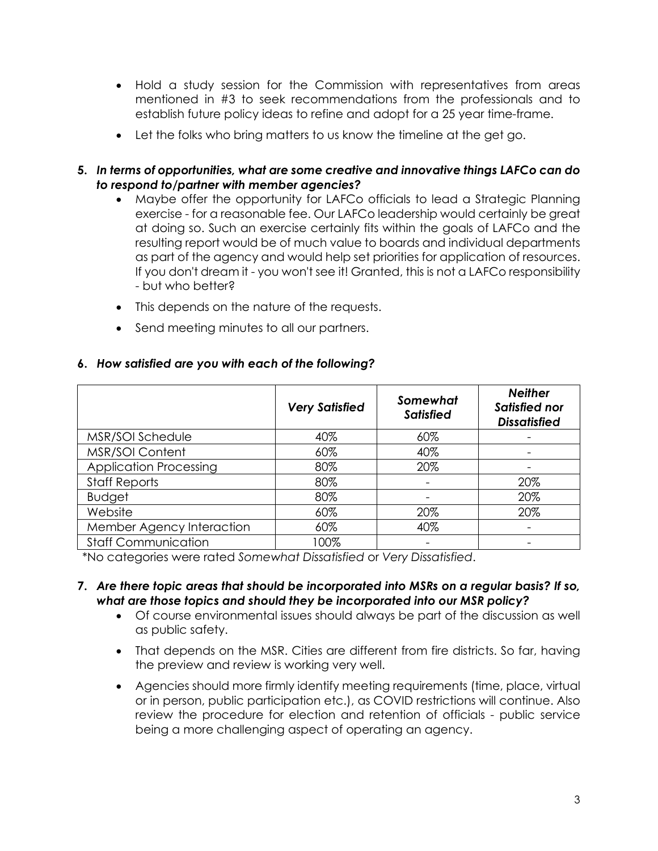- Hold a study session for the Commission with representatives from areas mentioned in #3 to seek recommendations from the professionals and to establish future policy ideas to refine and adopt for a 25 year time-frame.
- Let the folks who bring matters to us know the timeline at the get go.
- **5.** *In terms of opportunities, what are some creative and innovative things LAFCo can do to respond to/partner with member agencies?*
	- Maybe offer the opportunity for LAFCo officials to lead a Strategic Planning exercise - for a reasonable fee. Our LAFCo leadership would certainly be great at doing so. Such an exercise certainly fits within the goals of LAFCo and the resulting report would be of much value to boards and individual departments as part of the agency and would help set priorities for application of resources. If you don't dream it - you won't see it! Granted, this is not a LAFCo responsibility - but who better?
	- This depends on the nature of the requests.
	- Send meeting minutes to all our partners.

|                               | <b>Very Satisfied</b> | Somewhat<br><b>Satisfied</b> | <b>Neither</b><br>Satisfied nor<br><b>Dissatisfied</b> |
|-------------------------------|-----------------------|------------------------------|--------------------------------------------------------|
| MSR/SOI Schedule              | 40%                   | 60%                          |                                                        |
| MSR/SOI Content               | 60%                   | 40%                          |                                                        |
| <b>Application Processing</b> | 80%                   | 20%                          |                                                        |
| <b>Staff Reports</b>          | 80%                   |                              | 20%                                                    |
| <b>Budget</b>                 | 80%                   |                              | 20%                                                    |
| Website                       | 60%                   | 20%                          | 20%                                                    |
| Member Agency Interaction     | 60%                   | 40%                          |                                                        |
| <b>Staff Communication</b>    | 100%                  |                              |                                                        |

#### **6.** *How satisfied are you with each of the following?*

\*No categories were rated *Somewhat Dissatisfied* or *Very Dissatisfied*.

- **7.** *Are there topic areas that should be incorporated into MSRs on a regular basis? If so, what are those topics and should they be incorporated into our MSR policy?*
	- Of course environmental issues should always be part of the discussion as well as public safety.
	- That depends on the MSR. Cities are different from fire districts. So far, having the preview and review is working very well.
	- Agencies should more firmly identify meeting requirements (time, place, virtual or in person, public participation etc.), as COVID restrictions will continue. Also review the procedure for election and retention of officials - public service being a more challenging aspect of operating an agency.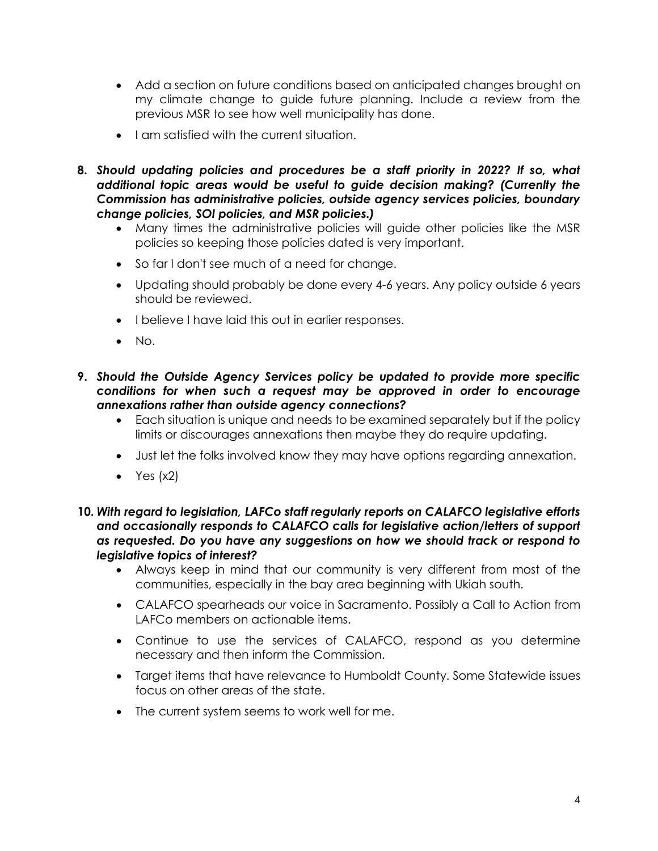- Add a section on future conditions based on anticipated changes brought on my climate change to guide future planning. Include a review from the previous MSR to see how well municipality has done.
- I am satisfied with the current situation.
- **8.** *Should updating policies and procedures be a staff priority in 2022? If so, what additional topic areas would be useful to guide decision making? (Currenlty the Commission has administrative policies, outside agency services policies, boundary change policies, SOI policies, and MSR policies.)*
	- Many times the administrative policies will guide other policies like the MSR policies so keeping those policies dated is very important.
	- So far I don't see much of a need for change.
	- Updating should probably be done every 4-6 years. Any policy outside 6 years should be reviewed.
	- I believe I have laid this out in earlier responses.
	- $\bullet$  No.
- **9.** *Should the Outside Agency Services policy be updated to provide more specific conditions for when such a request may be approved in order to encourage annexations rather than outside agency connections?*
	- Each situation is unique and needs to be examined separately but if the policy limits or discourages annexations then maybe they do require updating.
	- Just let the folks involved know they may have options regarding annexation.
	- Yes  $(x2)$
- **10.** *With regard to legislation, LAFCo staff regularly reports on CALAFCO legislative efforts and occasionally responds to CALAFCO calls for legislative action/letters of support as requested. Do you have any suggestions on how we should track or respond to legislative topics of interest?*
	- Always keep in mind that our community is very different from most of the communities, especially in the bay area beginning with Ukiah south.
	- CALAFCO spearheads our voice in Sacramento. Possibly a Call to Action from LAFCo members on actionable items.
	- Continue to use the services of CALAFCO, respond as you determine necessary and then inform the Commission.
	- Target items that have relevance to Humboldt County. Some Statewide issues focus on other areas of the state.
	- The current system seems to work well for me.